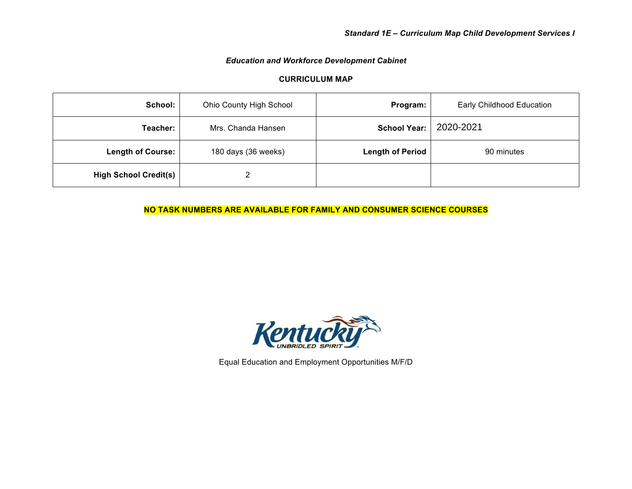## *Education and Workforce Development Cabinet*

## **CURRICULUM MAP**

| School:                      | Ohio County High School | Program:                | Early Childhood Education |
|------------------------------|-------------------------|-------------------------|---------------------------|
| Teacher:                     | Mrs. Chanda Hansen      | <b>School Year:</b>     | 2020-2021                 |
| <b>Length of Course:</b>     | 180 days (36 weeks)     | <b>Length of Period</b> | 90 minutes                |
| <b>High School Credit(s)</b> |                         |                         |                           |

**NO TASK NUMBERS ARE AVAILABLE FOR FAMILY AND CONSUMER SCIENCE COURSES**



Equal Education and Employment Opportunities M/F/D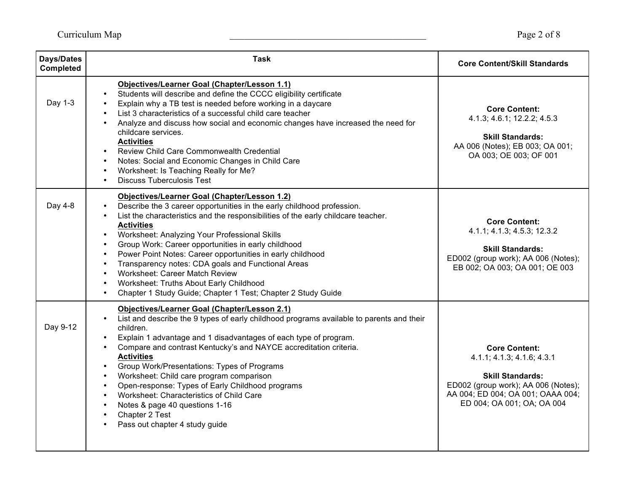| Days/Dates<br><b>Completed</b> | <b>Task</b>                                                                                                                                                                                                                                                                                                                                                                                                                                                                                                                                                                                                                                                                                                                                  | <b>Core Content/Skill Standards</b>                                                                                                                                                     |
|--------------------------------|----------------------------------------------------------------------------------------------------------------------------------------------------------------------------------------------------------------------------------------------------------------------------------------------------------------------------------------------------------------------------------------------------------------------------------------------------------------------------------------------------------------------------------------------------------------------------------------------------------------------------------------------------------------------------------------------------------------------------------------------|-----------------------------------------------------------------------------------------------------------------------------------------------------------------------------------------|
| Day 1-3                        | Objectives/Learner Goal (Chapter/Lesson 1.1)<br>Students will describe and define the CCCC eligibility certificate<br>$\bullet$<br>Explain why a TB test is needed before working in a daycare<br>$\bullet$<br>List 3 characteristics of a successful child care teacher<br>$\bullet$<br>Analyze and discuss how social and economic changes have increased the need for<br>$\bullet$<br>childcare services.<br><b>Activities</b><br>Review Child Care Commonwealth Credential<br>$\bullet$<br>Notes: Social and Economic Changes in Child Care<br>$\bullet$<br>Worksheet: Is Teaching Really for Me?<br>$\bullet$<br><b>Discuss Tuberculosis Test</b><br>$\bullet$                                                                          | <b>Core Content:</b><br>4.1.3; 4.6.1; 12.2.2; 4.5.3<br><b>Skill Standards:</b><br>AA 006 (Notes); EB 003; OA 001;<br>OA 003; OE 003; OF 001                                             |
| Day 4-8                        | <b>Objectives/Learner Goal (Chapter/Lesson 1.2)</b><br>Describe the 3 career opportunities in the early childhood profession.<br>$\bullet$<br>List the characteristics and the responsibilities of the early childcare teacher.<br>$\bullet$<br><b>Activities</b><br>Worksheet: Analyzing Your Professional Skills<br>$\bullet$<br>Group Work: Career opportunities in early childhood<br>$\bullet$<br>Power Point Notes: Career opportunities in early childhood<br>$\bullet$<br>Transparency notes: CDA goals and Functional Areas<br>$\bullet$<br><b>Worksheet: Career Match Review</b><br>$\bullet$<br>Worksheet: Truths About Early Childhood<br>$\bullet$<br>Chapter 1 Study Guide; Chapter 1 Test; Chapter 2 Study Guide<br>$\bullet$ | <b>Core Content:</b><br>4.1.1; 4.1.3; 4.5.3; 12.3.2<br><b>Skill Standards:</b><br>ED002 (group work); AA 006 (Notes);<br>EB 002; OA 003; OA 001; OE 003                                 |
| Day 9-12                       | <b>Objectives/Learner Goal (Chapter/Lesson 2.1)</b><br>List and describe the 9 types of early childhood programs available to parents and their<br>children.<br>Explain 1 advantage and 1 disadvantages of each type of program.<br>$\bullet$<br>Compare and contrast Kentucky's and NAYCE accreditation criteria.<br>$\bullet$<br><b>Activities</b><br>Group Work/Presentations: Types of Programs<br>$\bullet$<br>Worksheet: Child care program comparison<br>$\bullet$<br>Open-response: Types of Early Childhood programs<br>$\bullet$<br>Worksheet: Characteristics of Child Care<br>$\bullet$<br>Notes & page 40 questions 1-16<br>$\bullet$<br>Chapter 2 Test<br>$\bullet$<br>Pass out chapter 4 study guide<br>$\bullet$             | <b>Core Content:</b><br>4.1.1; 4.1.3; 4.1.6; 4.3.1<br><b>Skill Standards:</b><br>ED002 (group work); AA 006 (Notes);<br>AA 004; ED 004; OA 001; OAAA 004;<br>ED 004; OA 001; OA; OA 004 |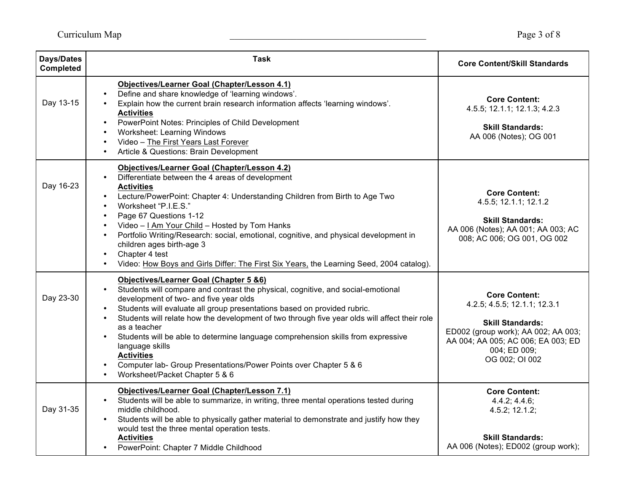| <b>Days/Dates</b><br><b>Completed</b> | <b>Task</b>                                                                                                                                                                                                                                                                                                                                                                                                                                                                                                                                                                                                                               | <b>Core Content/Skill Standards</b>                                                                                                                                                            |
|---------------------------------------|-------------------------------------------------------------------------------------------------------------------------------------------------------------------------------------------------------------------------------------------------------------------------------------------------------------------------------------------------------------------------------------------------------------------------------------------------------------------------------------------------------------------------------------------------------------------------------------------------------------------------------------------|------------------------------------------------------------------------------------------------------------------------------------------------------------------------------------------------|
| Day 13-15                             | Objectives/Learner Goal (Chapter/Lesson 4.1)<br>Define and share knowledge of 'learning windows'.<br>Explain how the current brain research information affects 'learning windows'.<br><b>Activities</b><br>PowerPoint Notes: Principles of Child Development<br>Worksheet: Learning Windows<br>$\bullet$<br>Video - The First Years Last Forever<br>$\bullet$<br>Article & Questions: Brain Development                                                                                                                                                                                                                                  | <b>Core Content:</b><br>4.5.5; 12.1.1; 12.1.3; 4.2.3<br><b>Skill Standards:</b><br>AA 006 (Notes); OG 001                                                                                      |
| Day 16-23                             | Objectives/Learner Goal (Chapter/Lesson 4.2)<br>Differentiate between the 4 areas of development<br><b>Activities</b><br>Lecture/PowerPoint: Chapter 4: Understanding Children from Birth to Age Two<br>$\bullet$<br>Worksheet "P.I.E.S."<br>$\bullet$<br>Page 67 Questions 1-12<br>$\bullet$<br>Video - I Am Your Child - Hosted by Tom Hanks<br>$\bullet$<br>Portfolio Writing/Research: social, emotional, cognitive, and physical development in<br>$\bullet$<br>children ages birth-age 3<br>Chapter 4 test<br>$\bullet$<br>Video: How Boys and Girls Differ: The First Six Years, the Learning Seed, 2004 catalog).<br>$\bullet$    | <b>Core Content:</b><br>4.5.5; 12.1.1; 12.1.2<br><b>Skill Standards:</b><br>AA 006 (Notes); AA 001; AA 003; AC<br>008; AC 006; OG 001, OG 002                                                  |
| Day 23-30                             | <b>Objectives/Learner Goal (Chapter 5 &amp;6)</b><br>Students will compare and contrast the physical, cognitive, and social-emotional<br>development of two- and five year olds<br>Students will evaluate all group presentations based on provided rubric.<br>$\bullet$<br>Students will relate how the development of two through five year olds will affect their role<br>$\bullet$<br>as a teacher<br>Students will be able to determine language comprehension skills from expressive<br>language skills<br><b>Activities</b><br>Computer lab- Group Presentations/Power Points over Chapter 5 & 6<br>Worksheet/Packet Chapter 5 & 6 | <b>Core Content:</b><br>4.2.5; 4.5.5; 12.1.1; 12.3.1<br><b>Skill Standards:</b><br>ED002 (group work); AA 002; AA 003;<br>AA 004; AA 005; AC 006; EA 003; ED<br>004; ED 009;<br>OG 002; OI 002 |
| Day 31-35                             | Objectives/Learner Goal (Chapter/Lesson 7.1)<br>Students will be able to summarize, in writing, three mental operations tested during<br>middle childhood.<br>Students will be able to physically gather material to demonstrate and justify how they<br>would test the three mental operation tests.<br><b>Activities</b><br>PowerPoint: Chapter 7 Middle Childhood                                                                                                                                                                                                                                                                      | <b>Core Content:</b><br>4.4.2; 4.4.6;<br>4.5.2; 12.1.2;<br><b>Skill Standards:</b><br>AA 006 (Notes); ED002 (group work);                                                                      |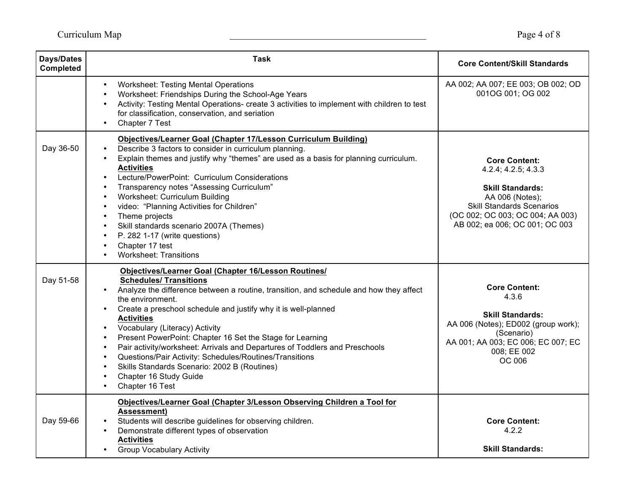| <b>Days/Dates</b><br><b>Completed</b> | <b>Task</b>                                                                                                                                                                                                                                                                                                                                                                                                                                                                                                                                                                                                                                                                                                                 | <b>Core Content/Skill Standards</b>                                                                                                                                                                 |
|---------------------------------------|-----------------------------------------------------------------------------------------------------------------------------------------------------------------------------------------------------------------------------------------------------------------------------------------------------------------------------------------------------------------------------------------------------------------------------------------------------------------------------------------------------------------------------------------------------------------------------------------------------------------------------------------------------------------------------------------------------------------------------|-----------------------------------------------------------------------------------------------------------------------------------------------------------------------------------------------------|
|                                       | <b>Worksheet: Testing Mental Operations</b><br>$\bullet$<br>Worksheet: Friendships During the School-Age Years<br>$\bullet$<br>Activity: Testing Mental Operations- create 3 activities to implement with children to test<br>$\bullet$<br>for classification, conservation, and seriation<br>Chapter 7 Test<br>$\bullet$                                                                                                                                                                                                                                                                                                                                                                                                   | AA 002; AA 007; EE 003; OB 002; OD<br>001OG 001; OG 002                                                                                                                                             |
| Day 36-50                             | Objectives/Learner Goal (Chapter 17/Lesson Curriculum Building)<br>Describe 3 factors to consider in curriculum planning.<br>$\bullet$<br>Explain themes and justify why "themes" are used as a basis for planning curriculum.<br>$\bullet$<br><b>Activities</b><br>Lecture/PowerPoint: Curriculum Considerations<br>Transparency notes "Assessing Curriculum"<br>$\bullet$<br>Worksheet: Curriculum Building<br>$\bullet$<br>video: "Planning Activities for Children"<br>$\bullet$<br>Theme projects<br>$\bullet$<br>Skill standards scenario 2007A (Themes)<br>$\bullet$<br>P. 282 1-17 (write questions)<br>$\bullet$<br>Chapter 17 test<br>$\bullet$<br><b>Worksheet: Transitions</b>                                  | <b>Core Content:</b><br>4.2.4; 4.2.5; 4.3.3<br><b>Skill Standards:</b><br>AA 006 (Notes);<br><b>Skill Standards Scenarios</b><br>(OC 002; OC 003; OC 004; AA 003)<br>AB 002; ea 006; OC 001; OC 003 |
| Day 51-58                             | Objectives/Learner Goal (Chapter 16/Lesson Routines/<br><b>Schedules/ Transitions</b><br>Analyze the difference between a routine, transition, and schedule and how they affect<br>$\bullet$<br>the environment.<br>Create a preschool schedule and justify why it is well-planned<br><b>Activities</b><br>Vocabulary (Literacy) Activity<br>$\bullet$<br>Present PowerPoint: Chapter 16 Set the Stage for Learning<br>$\bullet$<br>Pair activity/worksheet: Arrivals and Departures of Toddlers and Preschools<br>$\bullet$<br>Questions/Pair Activity: Schedules/Routines/Transitions<br>$\bullet$<br>Skills Standards Scenario: 2002 B (Routines)<br>$\bullet$<br>Chapter 16 Study Guide<br>$\bullet$<br>Chapter 16 Test | <b>Core Content:</b><br>4.3.6<br><b>Skill Standards:</b><br>AA 006 (Notes); ED002 (group work);<br>(Scenario)<br>AA 001; AA 003; EC 006; EC 007; EC<br>008; EE 002<br>OC 006                        |
| Day 59-66                             | Objectives/Learner Goal (Chapter 3/Lesson Observing Children a Tool for<br>Assessment)<br>Students will describe guidelines for observing children.<br>Demonstrate different types of observation<br>$\bullet$<br><b>Activities</b><br><b>Group Vocabulary Activity</b>                                                                                                                                                                                                                                                                                                                                                                                                                                                     | <b>Core Content:</b><br>4.2.2<br><b>Skill Standards:</b>                                                                                                                                            |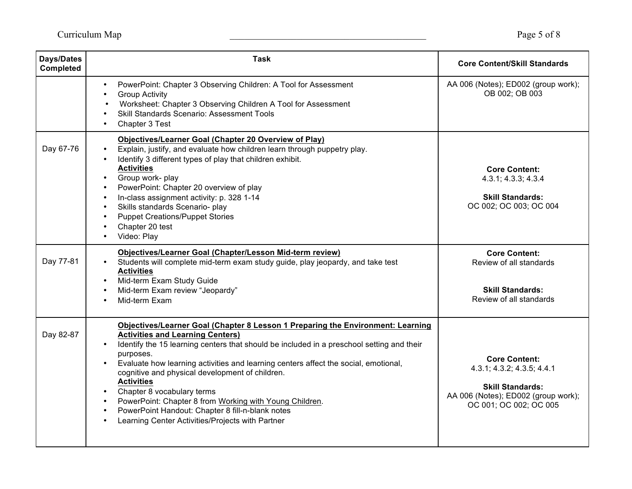| <b>Days/Dates</b><br><b>Completed</b> | <b>Task</b>                                                                                                                                                                                                                                                                                                                                                                                                                                                                                                                                                                                                                                                                        | <b>Core Content/Skill Standards</b>                                                                                                            |
|---------------------------------------|------------------------------------------------------------------------------------------------------------------------------------------------------------------------------------------------------------------------------------------------------------------------------------------------------------------------------------------------------------------------------------------------------------------------------------------------------------------------------------------------------------------------------------------------------------------------------------------------------------------------------------------------------------------------------------|------------------------------------------------------------------------------------------------------------------------------------------------|
|                                       | PowerPoint: Chapter 3 Observing Children: A Tool for Assessment<br>$\bullet$<br><b>Group Activity</b><br>$\bullet$<br>Worksheet: Chapter 3 Observing Children A Tool for Assessment<br><b>Skill Standards Scenario: Assessment Tools</b><br>$\bullet$<br>Chapter 3 Test<br>$\bullet$                                                                                                                                                                                                                                                                                                                                                                                               | AA 006 (Notes); ED002 (group work);<br>OB 002; OB 003                                                                                          |
| Day 67-76                             | Objectives/Learner Goal (Chapter 20 Overview of Play)<br>Explain, justify, and evaluate how children learn through puppetry play.<br>$\bullet$<br>Identify 3 different types of play that children exhibit.<br><b>Activities</b><br>Group work- play<br>$\bullet$<br>PowerPoint: Chapter 20 overview of play<br>$\bullet$<br>In-class assignment activity: p. 328 1-14<br>$\bullet$<br>Skills standards Scenario- play<br>$\bullet$<br><b>Puppet Creations/Puppet Stories</b><br>$\bullet$<br>Chapter 20 test<br>$\bullet$<br>Video: Play<br>$\bullet$                                                                                                                             | <b>Core Content:</b><br>4.3.1; 4.3.3; 4.3.4<br><b>Skill Standards:</b><br>OC 002; OC 003; OC 004                                               |
| Day 77-81                             | Objectives/Learner Goal (Chapter/Lesson Mid-term review)<br>Students will complete mid-term exam study guide, play jeopardy, and take test<br><b>Activities</b><br>Mid-term Exam Study Guide<br>$\bullet$<br>Mid-term Exam review "Jeopardy"<br>$\bullet$<br>Mid-term Exam<br>$\bullet$                                                                                                                                                                                                                                                                                                                                                                                            | <b>Core Content:</b><br>Review of all standards<br><b>Skill Standards:</b><br>Review of all standards                                          |
| Day 82-87                             | Objectives/Learner Goal (Chapter 8 Lesson 1 Preparing the Environment: Learning<br><b>Activities and Learning Centers)</b><br>Identify the 15 learning centers that should be included in a preschool setting and their<br>$\bullet$<br>purposes.<br>Evaluate how learning activities and learning centers affect the social, emotional,<br>$\bullet$<br>cognitive and physical development of children.<br><b>Activities</b><br>Chapter 8 vocabulary terms<br>$\bullet$<br>PowerPoint: Chapter 8 from Working with Young Children.<br>$\bullet$<br>PowerPoint Handout: Chapter 8 fill-n-blank notes<br>$\bullet$<br>Learning Center Activities/Projects with Partner<br>$\bullet$ | <b>Core Content:</b><br>4.3.1; 4.3.2; 4.3.5; 4.4.1<br><b>Skill Standards:</b><br>AA 006 (Notes); ED002 (group work);<br>OC 001; OC 002; OC 005 |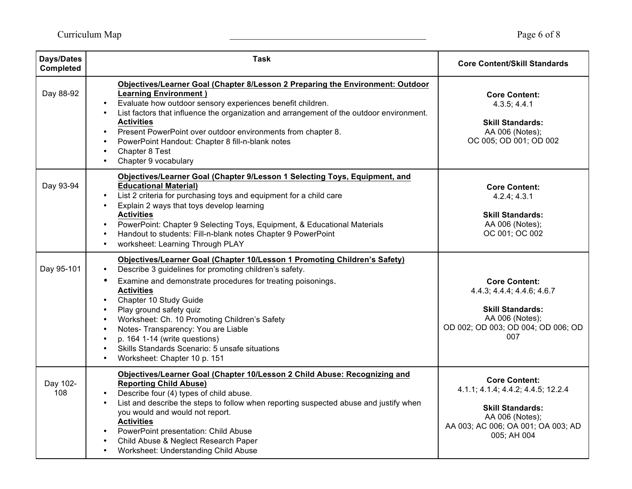| <b>Days/Dates</b><br>Completed | <b>Task</b>                                                                                                                                                                                                                                                                                                                                                                                                                                                                                                                                                                                     | <b>Core Content/Skill Standards</b>                                                                                                                           |
|--------------------------------|-------------------------------------------------------------------------------------------------------------------------------------------------------------------------------------------------------------------------------------------------------------------------------------------------------------------------------------------------------------------------------------------------------------------------------------------------------------------------------------------------------------------------------------------------------------------------------------------------|---------------------------------------------------------------------------------------------------------------------------------------------------------------|
| Day 88-92                      | Objectives/Learner Goal (Chapter 8/Lesson 2 Preparing the Environment: Outdoor<br><b>Learning Environment)</b><br>Evaluate how outdoor sensory experiences benefit children.<br>$\bullet$<br>List factors that influence the organization and arrangement of the outdoor environment.<br>$\bullet$<br><b>Activities</b><br>Present PowerPoint over outdoor environments from chapter 8.<br>$\bullet$<br>PowerPoint Handout: Chapter 8 fill-n-blank notes<br>$\bullet$<br>Chapter 8 Test<br>$\bullet$<br>Chapter 9 vocabulary<br>$\bullet$                                                       | <b>Core Content:</b><br>4.3.5; 4.4.1<br><b>Skill Standards:</b><br>AA 006 (Notes);<br>OC 005; OD 001; OD 002                                                  |
| Day 93-94                      | Objectives/Learner Goal (Chapter 9/Lesson 1 Selecting Toys, Equipment, and<br><b>Educational Material)</b><br>List 2 criteria for purchasing toys and equipment for a child care<br>$\bullet$<br>Explain 2 ways that toys develop learning<br>$\bullet$<br><b>Activities</b><br>PowerPoint: Chapter 9 Selecting Toys, Equipment, & Educational Materials<br>$\bullet$<br>Handout to students: Fill-n-blank notes Chapter 9 PowerPoint<br>$\bullet$<br>worksheet: Learning Through PLAY<br>$\bullet$                                                                                             | <b>Core Content:</b><br>4.2.4; 4.3.1<br><b>Skill Standards:</b><br>AA 006 (Notes);<br>OC 001; OC 002                                                          |
| Day 95-101                     | Objectives/Learner Goal (Chapter 10/Lesson 1 Promoting Children's Safety)<br>Describe 3 guidelines for promoting children's safety.<br>Examine and demonstrate procedures for treating poisonings.<br>$\bullet$<br><b>Activities</b><br>Chapter 10 Study Guide<br>$\bullet$<br>Play ground safety quiz<br>$\bullet$<br>Worksheet: Ch. 10 Promoting Children's Safety<br>$\bullet$<br>Notes- Transparency: You are Liable<br>$\bullet$<br>p. 164 1-14 (write questions)<br>$\bullet$<br>Skills Standards Scenario: 5 unsafe situations<br>$\bullet$<br>Worksheet: Chapter 10 p. 151<br>$\bullet$ | <b>Core Content:</b><br>4.4.3; 4.4.4; 4.4.6; 4.6.7<br><b>Skill Standards:</b><br>AA 006 (Notes);<br>OD 002; OD 003; OD 004; OD 006; OD<br>007                 |
| Day 102-<br>108                | Objectives/Learner Goal (Chapter 10/Lesson 2 Child Abuse: Recognizing and<br><b>Reporting Child Abuse)</b><br>Describe four (4) types of child abuse.<br>$\bullet$<br>List and describe the steps to follow when reporting suspected abuse and justify when<br>$\bullet$<br>you would and would not report.<br><b>Activities</b><br>PowerPoint presentation: Child Abuse<br>$\bullet$<br>Child Abuse & Neglect Research Paper<br>$\bullet$<br>Worksheet: Understanding Child Abuse                                                                                                              | <b>Core Content:</b><br>4.1.1; 4.1.4; 4.4.2; 4.4.5; 12.2.4<br><b>Skill Standards:</b><br>AA 006 (Notes);<br>AA 003; AC 006; OA 001; OA 003; AD<br>005; AH 004 |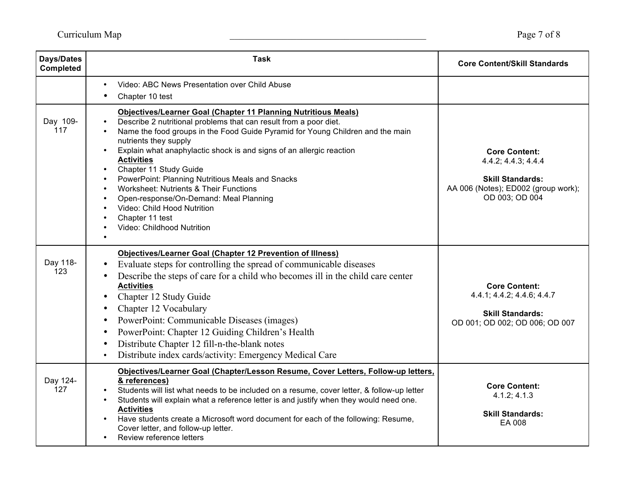| <b>Days/Dates</b><br>Completed | <b>Task</b>                                                                                                                                                                                                                                                                                                                                                                                                                                                                                                                                                                                                                                                                                                | <b>Core Content/Skill Standards</b>                                                                                             |
|--------------------------------|------------------------------------------------------------------------------------------------------------------------------------------------------------------------------------------------------------------------------------------------------------------------------------------------------------------------------------------------------------------------------------------------------------------------------------------------------------------------------------------------------------------------------------------------------------------------------------------------------------------------------------------------------------------------------------------------------------|---------------------------------------------------------------------------------------------------------------------------------|
|                                | Video: ABC News Presentation over Child Abuse<br>$\bullet$<br>Chapter 10 test                                                                                                                                                                                                                                                                                                                                                                                                                                                                                                                                                                                                                              |                                                                                                                                 |
| Day 109-<br>117                | <b>Objectives/Learner Goal (Chapter 11 Planning Nutritious Meals)</b><br>Describe 2 nutritional problems that can result from a poor diet.<br>Name the food groups in the Food Guide Pyramid for Young Children and the main<br>$\bullet$<br>nutrients they supply<br>Explain what anaphylactic shock is and signs of an allergic reaction<br>$\bullet$<br><b>Activities</b><br>Chapter 11 Study Guide<br>$\bullet$<br>PowerPoint: Planning Nutritious Meals and Snacks<br>$\bullet$<br><b>Worksheet: Nutrients &amp; Their Functions</b><br>$\bullet$<br>Open-response/On-Demand: Meal Planning<br>$\bullet$<br>Video: Child Hood Nutrition<br>$\bullet$<br>Chapter 11 test<br>Video: Childhood Nutrition | <b>Core Content:</b><br>4.4.2; 4.4.3; 4.4.4<br><b>Skill Standards:</b><br>AA 006 (Notes); ED002 (group work);<br>OD 003; OD 004 |
| Day 118-<br>123                | <b>Objectives/Learner Goal (Chapter 12 Prevention of Illness)</b><br>Evaluate steps for controlling the spread of communicable diseases<br>Describe the steps of care for a child who becomes ill in the child care center<br><b>Activities</b><br>Chapter 12 Study Guide<br>Chapter 12 Vocabulary<br>PowerPoint: Communicable Diseases (images)<br>$\bullet$<br>PowerPoint: Chapter 12 Guiding Children's Health<br>$\bullet$<br>Distribute Chapter 12 fill-n-the-blank notes<br>$\bullet$<br>Distribute index cards/activity: Emergency Medical Care<br>$\bullet$                                                                                                                                        | <b>Core Content:</b><br>4.4.1; 4.4.2; 4.4.6; 4.4.7<br><b>Skill Standards:</b><br>OD 001; OD 002; OD 006; OD 007                 |
| Day 124-<br>127                | Objectives/Learner Goal (Chapter/Lesson Resume, Cover Letters, Follow-up letters,<br>& references)<br>Students will list what needs to be included on a resume, cover letter, & follow-up letter<br>Students will explain what a reference letter is and justify when they would need one.<br>$\bullet$<br><b>Activities</b><br>Have students create a Microsoft word document for each of the following: Resume,<br>$\bullet$<br>Cover letter, and follow-up letter.<br>Review reference letters                                                                                                                                                                                                          | <b>Core Content:</b><br>4.1.2; 4.1.3<br><b>Skill Standards:</b><br>EA 008                                                       |